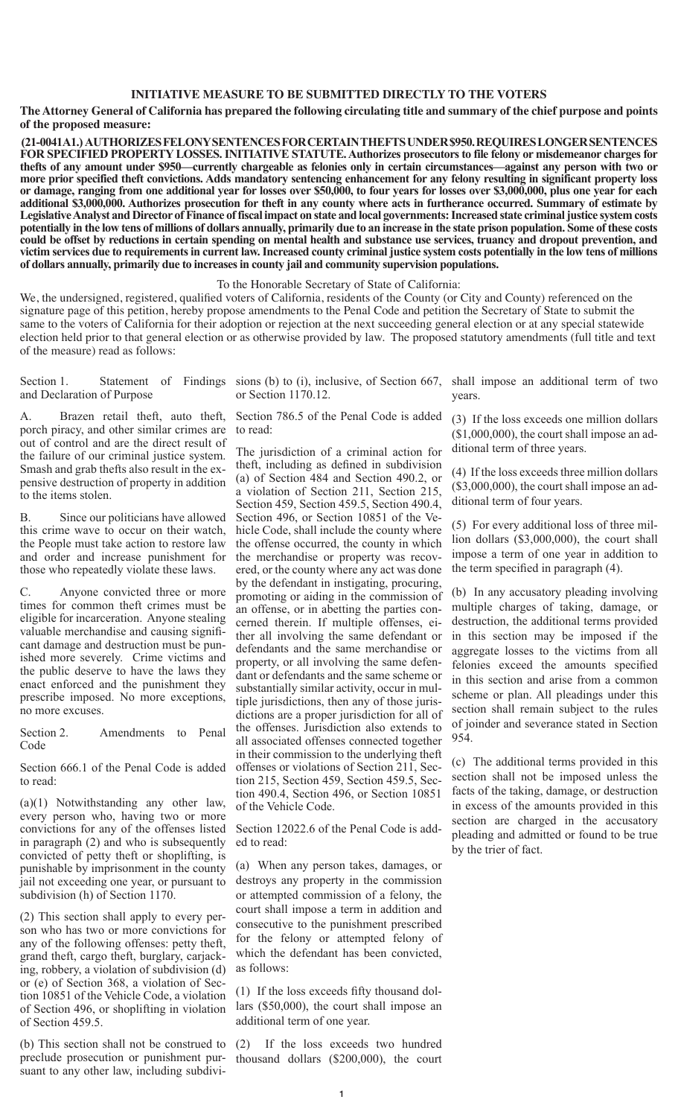## **INITIATIVE MEASURE TO BE SUBMITTED DIRECTLY TO THE VOTERS**

**The Attorney General of California has prepared the following circulating title and summary of the chief purpose and points of the proposed measure:**

 **(21-0041A1.) AUTHORIZES FELONY SENTENCES FOR CERTAIN THEFTS UNDER \$950. REQUIRES LONGER SENTENCES FOR SPECIFIED PROPERTY LOSSES. INITIATIVE STATUTE. Authorizes prosecutors to file felony or misdemeanor charges for thefts of any amount under \$950—currently chargeable as felonies only in certain circumstances—against any person with two or more prior specified theft convictions. Adds mandatory sentencing enhancement for any felony resulting in significant property loss or damage, ranging from one additional year for losses over \$50,000, to four years for losses over \$3,000,000, plus one year for each additional \$3,000,000. Authorizes prosecution for theft in any county where acts in furtherance occurred. Summary of estimate by Legislative Analyst and Director of Finance of fiscal impact on state and local governments: Increased state criminal justice system costs potentially in the low tens of millions of dollars annually, primarily due to an increase in the state prison population. Some of these costs could be offset by reductions in certain spending on mental health and substance use services, truancy and dropout prevention, and victim services due to requirements in current law. Increased county criminal justice system costs potentially in the low tens of millions of dollars annually, primarily due to increases in county jail and community supervision populations.** 

To the Honorable Secretary of State of California:

We, the undersigned, registered, qualified voters of California, residents of the County (or City and County) referenced on the signature page of this petition, hereby propose amendments to the Penal Code and petition the Secretary of State to submit the same to the voters of California for their adoption or rejection at the next succeeding general election or at any special statewide election held prior to that general election or as otherwise provided by law. The proposed statutory amendments (full title and text of the measure) read as follows:

Section 1. Statement of Findings sions (b) to (i), inclusive, of Section 667, shall impose an additional term of two and Declaration of Purpose

A. Brazen retail theft, auto theft, porch piracy, and other similar crimes are out of control and are the direct result of the failure of our criminal justice system. Smash and grab thefts also result in the expensive destruction of property in addition to the items stolen.

B. Since our politicians have allowed this crime wave to occur on their watch, the People must take action to restore law and order and increase punishment for those who repeatedly violate these laws.

C. Anyone convicted three or more times for common theft crimes must be eligible for incarceration. Anyone stealing valuable merchandise and causing significant damage and destruction must be punished more severely. Crime victims and the public deserve to have the laws they enact enforced and the punishment they prescribe imposed. No more exceptions, no more excuses.

Section 2. Amendments to Penal Code

Section 666.1 of the Penal Code is added to read:

(a)(1) Notwithstanding any other law, every person who, having two or more convictions for any of the offenses listed in paragraph (2) and who is subsequently convicted of petty theft or shoplifting, is punishable by imprisonment in the county jail not exceeding one year, or pursuant to subdivision (h) of Section 1170.

(2) This section shall apply to every person who has two or more convictions for any of the following offenses: petty theft, grand theft, cargo theft, burglary, carjacking, robbery, a violation of subdivision (d) or (e) of Section 368, a violation of Section 10851 of the Vehicle Code, a violation of Section 496, or shoplifting in violation of Section 459.5.

(b) This section shall not be construed to preclude prosecution or punishment pursuant to any other law, including subdivior Section 1170.12.

Section 786.5 of the Penal Code is added to read:

The jurisdiction of a criminal action for theft, including as defined in subdivision (a) of Section 484 and Section 490.2, or a violation of Section 211, Section 215, Section 459, Section 459.5, Section 490.4, Section 496, or Section 10851 of the Vehicle Code, shall include the county where the offense occurred, the county in which the merchandise or property was recovered, or the county where any act was done by the defendant in instigating, procuring, promoting or aiding in the commission of an offense, or in abetting the parties concerned therein. If multiple offenses, either all involving the same defendant or defendants and the same merchandise or property, or all involving the same defendant or defendants and the same scheme or substantially similar activity, occur in multiple jurisdictions, then any of those jurisdictions are a proper jurisdiction for all of the offenses. Jurisdiction also extends to all associated offenses connected together in their commission to the underlying theft offenses or violations of Section 211, Section 215, Section 459, Section 459.5, Section 490.4, Section 496, or Section 10851 of the Vehicle Code.

Section 12022.6 of the Penal Code is added to read:

(a) When any person takes, damages, or destroys any property in the commission or attempted commission of a felony, the court shall impose a term in addition and consecutive to the punishment prescribed for the felony or attempted felony of which the defendant has been convicted, as follows:

(1) If the loss exceeds fifty thousand dollars (\$50,000), the court shall impose an additional term of one year.

(2) If the loss exceeds two hundred thousand dollars (\$200,000), the court

years.

(3) If the loss exceeds one million dollars (\$1,000,000), the court shall impose an additional term of three years.

(4) If the loss exceeds three million dollars (\$3,000,000), the court shall impose an additional term of four years.

(5) For every additional loss of three million dollars (\$3,000,000), the court shall impose a term of one year in addition to the term specified in paragraph (4).

(b) In any accusatory pleading involving multiple charges of taking, damage, or destruction, the additional terms provided in this section may be imposed if the aggregate losses to the victims from all felonies exceed the amounts specified in this section and arise from a common scheme or plan. All pleadings under this section shall remain subject to the rules of joinder and severance stated in Section 954.

(c) The additional terms provided in this section shall not be imposed unless the facts of the taking, damage, or destruction in excess of the amounts provided in this section are charged in the accusatory pleading and admitted or found to be true by the trier of fact.